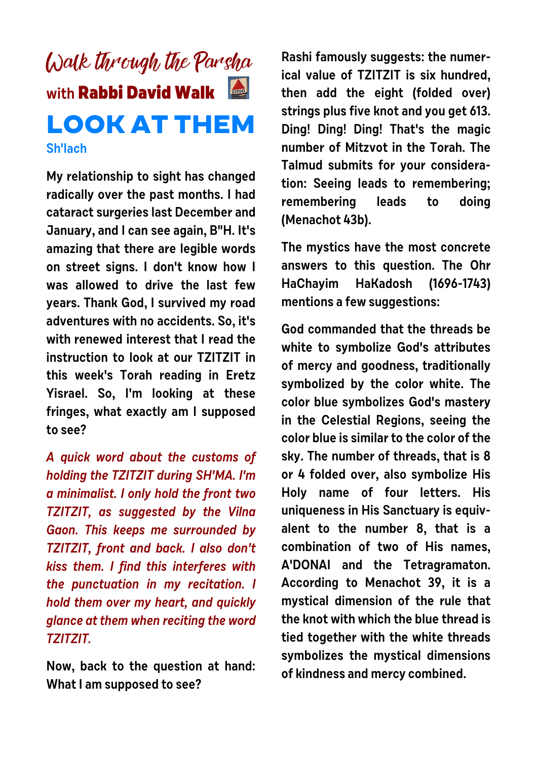## Walk through the Parsha **with Rabbi David Walk LOOK AT THEM Sh'lach**

**My relationship to sight has changed radically over the past months. I had cataract surgeries last December and January, and I can see again, B"H. It's amazing that there are legible words on street signs. I don't know how I was allowed to drive the last few years. Thank God, I survived my road adventures with no accidents. So, it's with renewed interest that I read the instruction to look at our TZITZIT in this week's Torah reading in Eretz Yisrael. So, I'm looking at these fringes, what exactly am I supposed to see?** 

**A quick word about the customs of holding the TZITZIT during SH'MA. I'm a minimalist. I only hold the front two TZITZIT, as suggested by the Vilna Gaon. This keeps me surrounded by TZITZIT, front and back. I also don't kiss them. I find this interferes with the punctuation in my recitation. I hold them over my heart, and quickly glance at them when reciting the word TZITZIT.** 

**Now, back to the question at hand: What I am supposed to see?**

**Rashi famously suggests: the numerical value of TZITZIT is six hundred, then add the eight (folded over) strings plus five knot and you get 613. Ding! Ding! Ding! That's the magic number of Mitzvot in the Torah. The Talmud submits for your consideration: Seeing leads to remembering; remembering leads to doing (Menachot 43b).** 

**The mystics have the most concrete answers to this question. The Ohr HaChayim HaKadosh (1696-1743) mentions a few suggestions:** 

**God commanded that the threads be white to symbolize God's attributes of mercy and goodness, traditionally symbolized by the color white. The color blue symbolizes God's mastery in the Celestial Regions, seeing the color blue is similar to the color of the sky. The number of threads, that is 8 or 4 folded over, also symbolize His Holy name of four letters. His uniqueness in His Sanctuary is equivalent to the number 8, that is a combination of two of His names, A'DONAI and the Tetragramaton. According to Menachot 39, it is a mystical dimension of the rule that the knot with which the blue thread is tied together with the white threads symbolizes the mystical dimensions of kindness and mercy combined.**